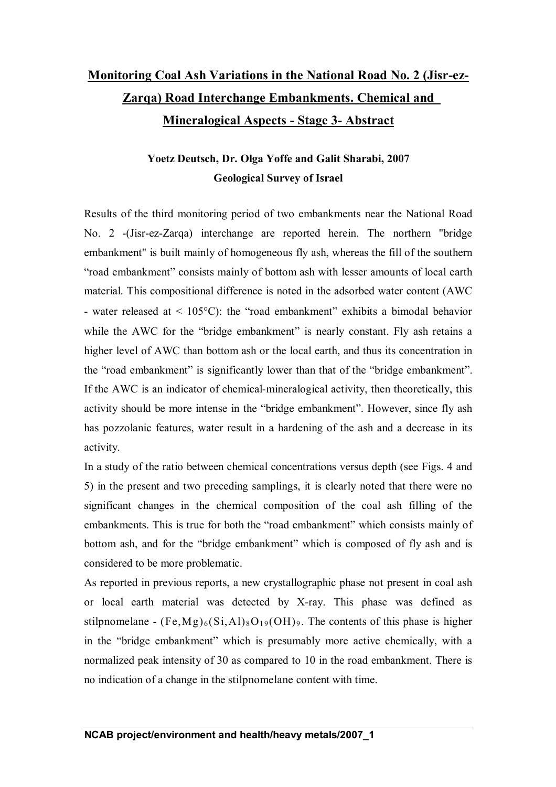## **Monitoring Coal Ash Variations in the National Road No. 2 (Jisr-ez-Zarqa) Road Interchange Embankments. Chemical and Mineralogical Aspects - Stage 3- Abstract**

## **Yoetz Deutsch, Dr. Olga Yoffe and Galit Sharabi, 2007 Geological Survey of Israel**

Results of the third monitoring period of two embankments near the National Road No. 2 -(Jisr-ez-Zarqa) interchange are reported herein. The northern "bridge embankment" is built mainly of homogeneous fly ash, whereas the fill of the southern "road embankment" consists mainly of bottom ash with lesser amounts of local earth material. This compositional difference is noted in the adsorbed water content (AWC - water released at  $\leq 105^{\circ}$ C): the "road embankment" exhibits a bimodal behavior while the AWC for the "bridge embankment" is nearly constant. Fly ash retains a higher level of AWC than bottom ash or the local earth, and thus its concentration in the "road embankment" is significantly lower than that of the "bridge embankment". If the AWC is an indicator of chemical-mineralogical activity, then theoretically, this activity should be more intense in the "bridge embankment". However, since fly ash has pozzolanic features, water result in a hardening of the ash and a decrease in its activity.

In a study of the ratio between chemical concentrations versus depth (see Figs. 4 and 5) in the present and two preceding samplings, it is clearly noted that there were no significant changes in the chemical composition of the coal ash filling of the embankments. This is true for both the "road embankment" which consists mainly of bottom ash, and for the "bridge embankment" which is composed of fly ash and is considered to be more problematic.

As reported in previous reports, a new crystallographic phase not present in coal ash or local earth material was detected by X-ray. This phase was defined as stilpnomelane -  $(Fe, Mg)_6(Si, Al)_8O_{19}(OH)_9$ . The contents of this phase is higher in the "bridge embankment" which is presumably more active chemically, with a normalized peak intensity of 30 as compared to 10 in the road embankment. There is no indication of a change in the stilpnomelane content with time.